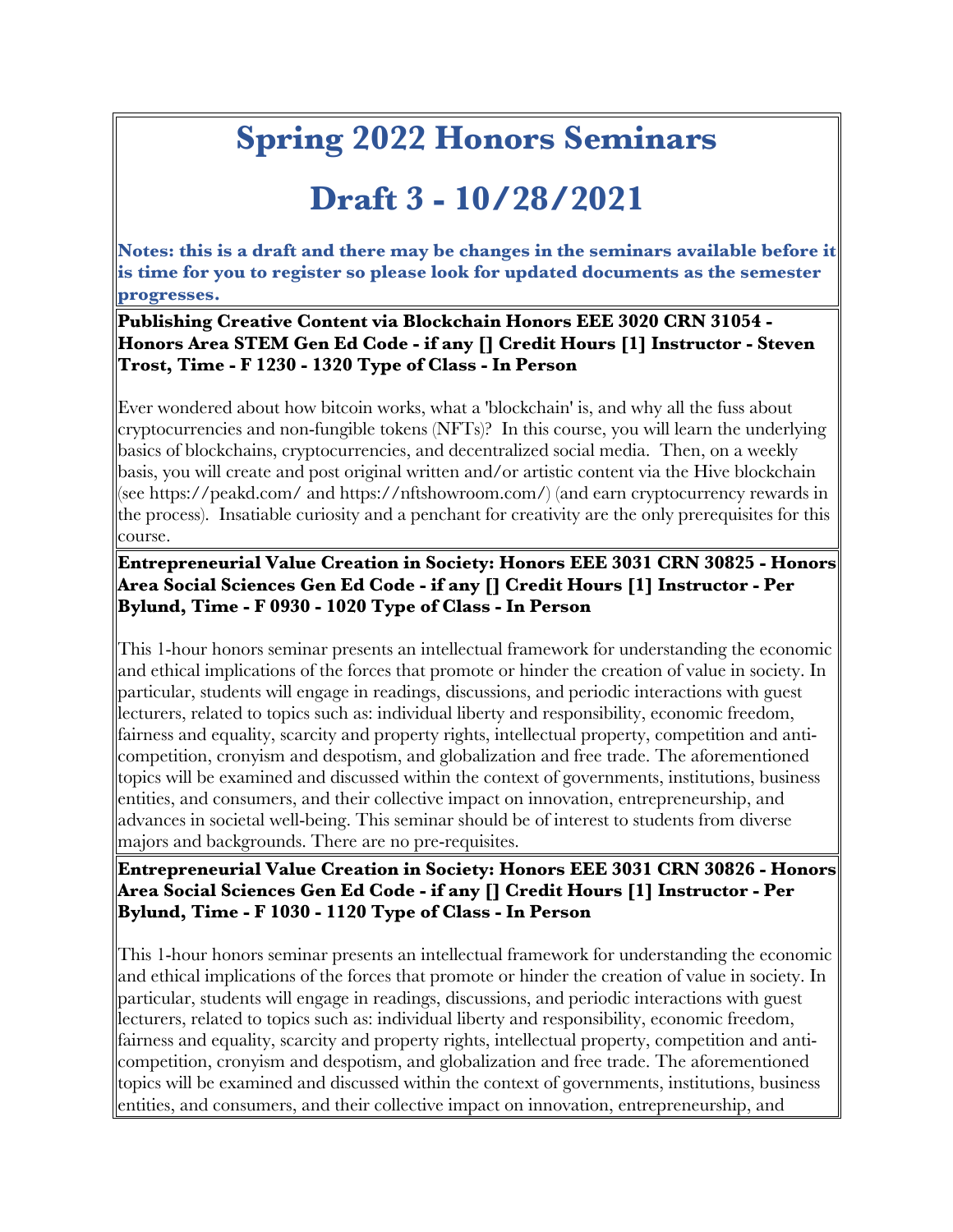# **Spring 2022 Honors Seminars**

# **Draft 3 - 10/28/2021**

**Notes: this is a draft and there may be changes in the seminars available before it is time for you to register so please look for updated documents as the semester progresses.**

#### **Publishing Creative Content via Blockchain Honors EEE 3020 CRN 31054 - Honors Area STEM Gen Ed Code - if any [] Credit Hours [1] Instructor - Steven Trost, Time - F 1230 - 1320 Type of Class - In Person**

Ever wondered about how bitcoin works, what a 'blockchain' is, and why all the fuss about cryptocurrencies and non-fungible tokens (NFTs)? In this course, you will learn the underlying basics of blockchains, cryptocurrencies, and decentralized social media. Then, on a weekly basis, you will create and post original written and/or artistic content via the Hive blockchain (see https://peakd.com/ and https://nftshowroom.com/) (and earn cryptocurrency rewards in the process). Insatiable curiosity and a penchant for creativity are the only prerequisites for this course.

# **Entrepreneurial Value Creation in Society: Honors EEE 3031 CRN 30825 - Honors Area Social Sciences Gen Ed Code - if any [] Credit Hours [1] Instructor - Per Bylund, Time - F 0930 - 1020 Type of Class - In Person**

This 1-hour honors seminar presents an intellectual framework for understanding the economic and ethical implications of the forces that promote or hinder the creation of value in society. In particular, students will engage in readings, discussions, and periodic interactions with guest lecturers, related to topics such as: individual liberty and responsibility, economic freedom, fairness and equality, scarcity and property rights, intellectual property, competition and anticompetition, cronyism and despotism, and globalization and free trade. The aforementioned topics will be examined and discussed within the context of governments, institutions, business entities, and consumers, and their collective impact on innovation, entrepreneurship, and advances in societal well-being. This seminar should be of interest to students from diverse majors and backgrounds. There are no pre-requisites.

#### **Entrepreneurial Value Creation in Society: Honors EEE 3031 CRN 30826 - Honors Area Social Sciences Gen Ed Code - if any [] Credit Hours [1] Instructor - Per Bylund, Time - F 1030 - 1120 Type of Class - In Person**

This 1-hour honors seminar presents an intellectual framework for understanding the economic and ethical implications of the forces that promote or hinder the creation of value in society. In particular, students will engage in readings, discussions, and periodic interactions with guest lecturers, related to topics such as: individual liberty and responsibility, economic freedom, fairness and equality, scarcity and property rights, intellectual property, competition and anticompetition, cronyism and despotism, and globalization and free trade. The aforementioned topics will be examined and discussed within the context of governments, institutions, business entities, and consumers, and their collective impact on innovation, entrepreneurship, and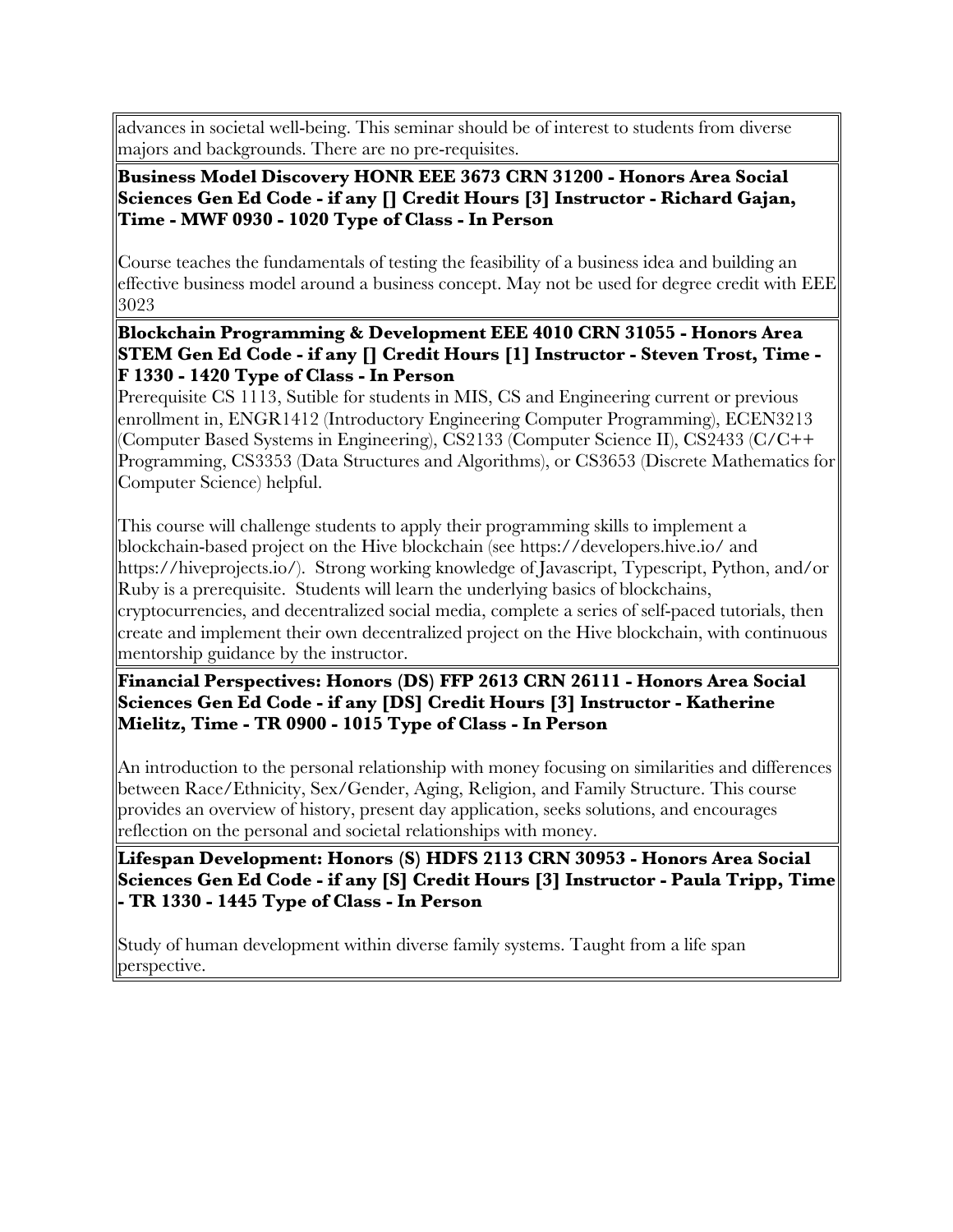advances in societal well-being. This seminar should be of interest to students from diverse majors and backgrounds. There are no pre-requisites.

#### **Business Model Discovery HONR EEE 3673 CRN 31200 - Honors Area Social Sciences Gen Ed Code - if any [] Credit Hours [3] Instructor - Richard Gajan, Time - MWF 0930 - 1020 Type of Class - In Person**

Course teaches the fundamentals of testing the feasibility of a business idea and building an effective business model around a business concept. May not be used for degree credit with EEE 3023

**Blockchain Programming & Development EEE 4010 CRN 31055 - Honors Area STEM Gen Ed Code - if any [] Credit Hours [1] Instructor - Steven Trost, Time - F 1330 - 1420 Type of Class - In Person**

Prerequisite CS 1113, Sutible for students in MIS, CS and Engineering current or previous enrollment in, ENGR1412 (Introductory Engineering Computer Programming), ECEN3213 (Computer Based Systems in Engineering), CS2133 (Computer Science II), CS2433 (C/C++ Programming, CS3353 (Data Structures and Algorithms), or CS3653 (Discrete Mathematics for Computer Science) helpful.

This course will challenge students to apply their programming skills to implement a blockchain-based project on the Hive blockchain (see https://developers.hive.io/ and https://hiveprojects.io/). Strong working knowledge of Javascript, Typescript, Python, and/or Ruby is a prerequisite. Students will learn the underlying basics of blockchains, cryptocurrencies, and decentralized social media, complete a series of self-paced tutorials, then create and implement their own decentralized project on the Hive blockchain, with continuous mentorship guidance by the instructor.

**Financial Perspectives: Honors (DS) FFP 2613 CRN 26111 - Honors Area Social Sciences Gen Ed Code - if any [DS] Credit Hours [3] Instructor - Katherine Mielitz, Time - TR 0900 - 1015 Type of Class - In Person**

An introduction to the personal relationship with money focusing on similarities and differences between Race/Ethnicity, Sex/Gender, Aging, Religion, and Family Structure. This course provides an overview of history, present day application, seeks solutions, and encourages reflection on the personal and societal relationships with money.

**Lifespan Development: Honors (S) HDFS 2113 CRN 30953 - Honors Area Social Sciences Gen Ed Code - if any [S] Credit Hours [3] Instructor - Paula Tripp, Time - TR 1330 - 1445 Type of Class - In Person**

Study of human development within diverse family systems. Taught from a life span perspective.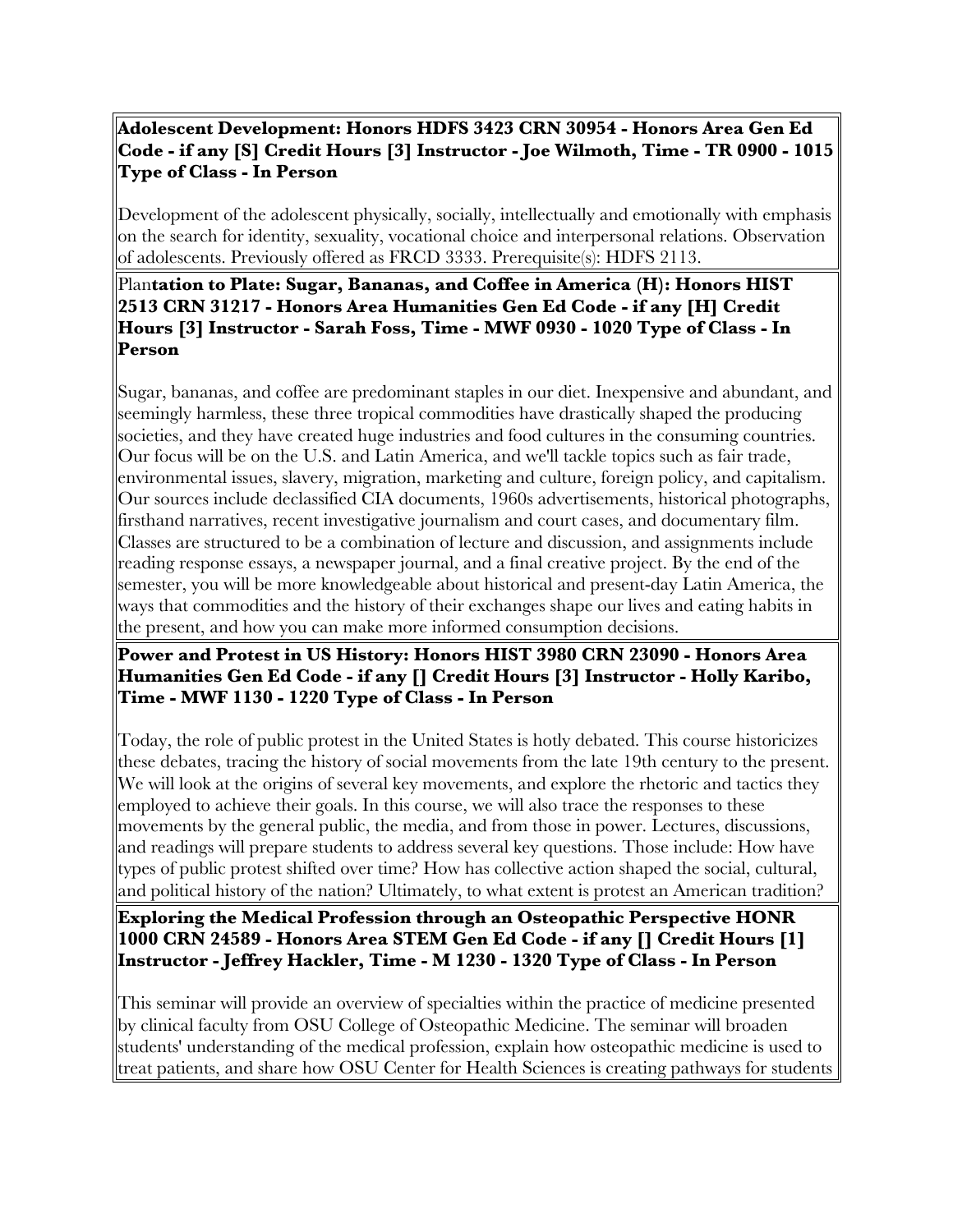# **Adolescent Development: Honors HDFS 3423 CRN 30954 - Honors Area Gen Ed Code - if any [S] Credit Hours [3] Instructor - Joe Wilmoth, Time - TR 0900 - 1015 Type of Class - In Person**

Development of the adolescent physically, socially, intellectually and emotionally with emphasis on the search for identity, sexuality, vocational choice and interpersonal relations. Observation of adolescents. Previously offered as FRCD 3333. Prerequisite(s): HDFS 2113.

# Plan**tation to Plate: Sugar, Bananas, and Coffee in America (H): Honors HIST 2513 CRN 31217 - Honors Area Humanities Gen Ed Code - if any [H] Credit Hours [3] Instructor - Sarah Foss, Time - MWF 0930 - 1020 Type of Class - In Person**

Sugar, bananas, and coffee are predominant staples in our diet. Inexpensive and abundant, and seemingly harmless, these three tropical commodities have drastically shaped the producing societies, and they have created huge industries and food cultures in the consuming countries. Our focus will be on the U.S. and Latin America, and we'll tackle topics such as fair trade, environmental issues, slavery, migration, marketing and culture, foreign policy, and capitalism. Our sources include declassified CIA documents, 1960s advertisements, historical photographs, firsthand narratives, recent investigative journalism and court cases, and documentary film. Classes are structured to be a combination of lecture and discussion, and assignments include reading response essays, a newspaper journal, and a final creative project. By the end of the semester, you will be more knowledgeable about historical and present-day Latin America, the ways that commodities and the history of their exchanges shape our lives and eating habits in the present, and how you can make more informed consumption decisions.

# **Power and Protest in US History: Honors HIST 3980 CRN 23090 - Honors Area Humanities Gen Ed Code - if any [] Credit Hours [3] Instructor - Holly Karibo, Time - MWF 1130 - 1220 Type of Class - In Person**

Today, the role of public protest in the United States is hotly debated. This course historicizes these debates, tracing the history of social movements from the late 19th century to the present. We will look at the origins of several key movements, and explore the rhetoric and tactics they employed to achieve their goals. In this course, we will also trace the responses to these movements by the general public, the media, and from those in power. Lectures, discussions, and readings will prepare students to address several key questions. Those include: How have types of public protest shifted over time? How has collective action shaped the social, cultural, and political history of the nation? Ultimately, to what extent is protest an American tradition?

**Exploring the Medical Profession through an Osteopathic Perspective HONR 1000 CRN 24589 - Honors Area STEM Gen Ed Code - if any [] Credit Hours [1] Instructor - Jeffrey Hackler, Time - M 1230 - 1320 Type of Class - In Person**

This seminar will provide an overview of specialties within the practice of medicine presented by clinical faculty from OSU College of Osteopathic Medicine. The seminar will broaden students' understanding of the medical profession, explain how osteopathic medicine is used to treat patients, and share how OSU Center for Health Sciences is creating pathways for students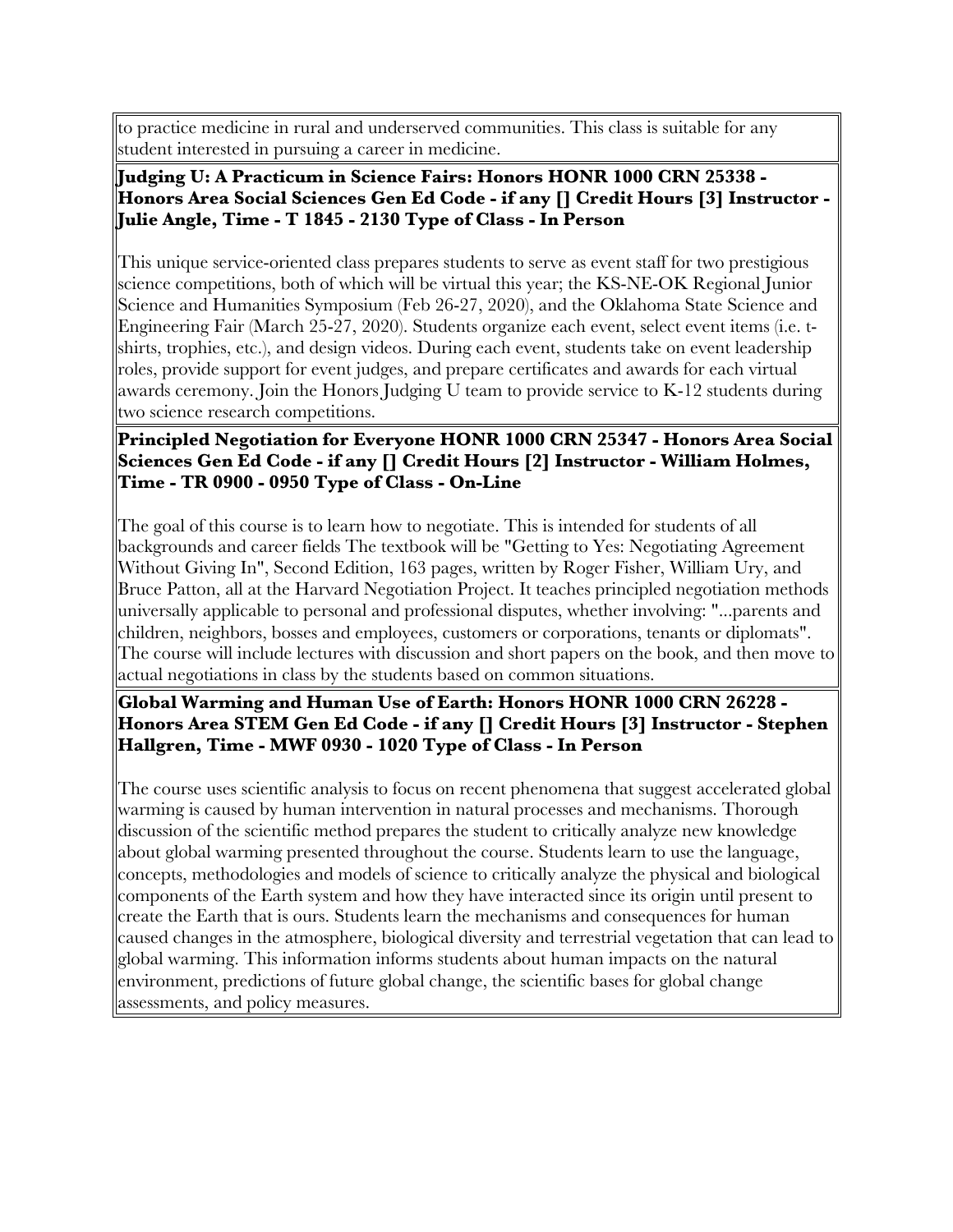to practice medicine in rural and underserved communities. This class is suitable for any student interested in pursuing a career in medicine.

# **Judging U: A Practicum in Science Fairs: Honors HONR 1000 CRN 25338 - Honors Area Social Sciences Gen Ed Code - if any [] Credit Hours [3] Instructor - Julie Angle, Time - T 1845 - 2130 Type of Class - In Person**

This unique service-oriented class prepares students to serve as event staff for two prestigious science competitions, both of which will be virtual this year; the KS-NE-OK Regional Junior Science and Humanities Symposium (Feb 26-27, 2020), and the Oklahoma State Science and Engineering Fair (March 25-27, 2020). Students organize each event, select event items (i.e. tshirts, trophies, etc.), and design videos. During each event, students take on event leadership roles, provide support for event judges, and prepare certificates and awards for each virtual awards ceremony. Join the Honors Judging U team to provide service to K-12 students during two science research competitions.

#### **Principled Negotiation for Everyone HONR 1000 CRN 25347 - Honors Area Social Sciences Gen Ed Code - if any [] Credit Hours [2] Instructor - William Holmes, Time - TR 0900 - 0950 Type of Class - On-Line**

The goal of this course is to learn how to negotiate. This is intended for students of all backgrounds and career fields The textbook will be "Getting to Yes: Negotiating Agreement Without Giving In", Second Edition, 163 pages, written by Roger Fisher, William Ury, and Bruce Patton, all at the Harvard Negotiation Project. It teaches principled negotiation methods universally applicable to personal and professional disputes, whether involving: "...parents and children, neighbors, bosses and employees, customers or corporations, tenants or diplomats". The course will include lectures with discussion and short papers on the book, and then move to actual negotiations in class by the students based on common situations.

# **Global Warming and Human Use of Earth: Honors HONR 1000 CRN 26228 - Honors Area STEM Gen Ed Code - if any [] Credit Hours [3] Instructor - Stephen Hallgren, Time - MWF 0930 - 1020 Type of Class - In Person**

The course uses scientific analysis to focus on recent phenomena that suggest accelerated global warming is caused by human intervention in natural processes and mechanisms. Thorough discussion of the scientific method prepares the student to critically analyze new knowledge about global warming presented throughout the course. Students learn to use the language, concepts, methodologies and models of science to critically analyze the physical and biological components of the Earth system and how they have interacted since its origin until present to create the Earth that is ours. Students learn the mechanisms and consequences for human caused changes in the atmosphere, biological diversity and terrestrial vegetation that can lead to global warming. This information informs students about human impacts on the natural environment, predictions of future global change, the scientific bases for global change assessments, and policy measures.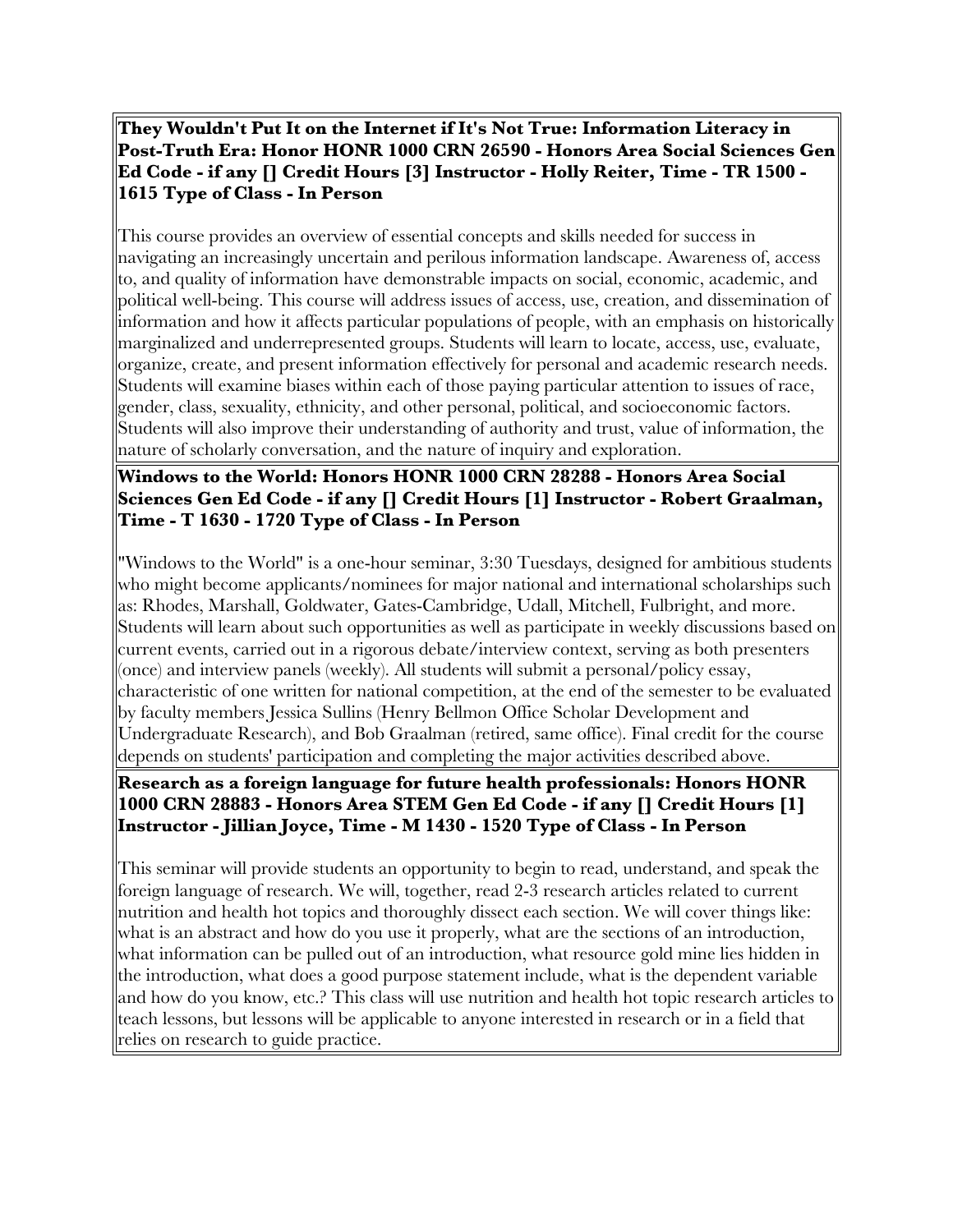# **They Wouldn't Put It on the Internet if It's Not True: Information Literacy in Post-Truth Era: Honor HONR 1000 CRN 26590 - Honors Area Social Sciences Gen Ed Code - if any [] Credit Hours [3] Instructor - Holly Reiter, Time - TR 1500 - 1615 Type of Class - In Person**

This course provides an overview of essential concepts and skills needed for success in navigating an increasingly uncertain and perilous information landscape. Awareness of, access to, and quality of information have demonstrable impacts on social, economic, academic, and political well-being. This course will address issues of access, use, creation, and dissemination of information and how it affects particular populations of people, with an emphasis on historically marginalized and underrepresented groups. Students will learn to locate, access, use, evaluate, organize, create, and present information effectively for personal and academic research needs. Students will examine biases within each of those paying particular attention to issues of race, gender, class, sexuality, ethnicity, and other personal, political, and socioeconomic factors. Students will also improve their understanding of authority and trust, value of information, the nature of scholarly conversation, and the nature of inquiry and exploration.

# **Windows to the World: Honors HONR 1000 CRN 28288 - Honors Area Social Sciences Gen Ed Code - if any [] Credit Hours [1] Instructor - Robert Graalman, Time - T 1630 - 1720 Type of Class - In Person**

"Windows to the World" is a one-hour seminar, 3:30 Tuesdays, designed for ambitious students who might become applicants/nominees for major national and international scholarships such as: Rhodes, Marshall, Goldwater, Gates-Cambridge, Udall, Mitchell, Fulbright, and more. Students will learn about such opportunities as well as participate in weekly discussions based on current events, carried out in a rigorous debate/interview context, serving as both presenters (once) and interview panels (weekly). All students will submit a personal/policy essay, characteristic of one written for national competition, at the end of the semester to be evaluated by faculty members Jessica Sullins (Henry Bellmon Office Scholar Development and Undergraduate Research), and Bob Graalman (retired, same office). Final credit for the course depends on students' participation and completing the major activities described above.

# **Research as a foreign language for future health professionals: Honors HONR 1000 CRN 28883 - Honors Area STEM Gen Ed Code - if any [] Credit Hours [1] Instructor - Jillian Joyce, Time - M 1430 - 1520 Type of Class - In Person**

This seminar will provide students an opportunity to begin to read, understand, and speak the foreign language of research. We will, together, read 2-3 research articles related to current nutrition and health hot topics and thoroughly dissect each section. We will cover things like: what is an abstract and how do you use it properly, what are the sections of an introduction, what information can be pulled out of an introduction, what resource gold mine lies hidden in the introduction, what does a good purpose statement include, what is the dependent variable and how do you know, etc.? This class will use nutrition and health hot topic research articles to teach lessons, but lessons will be applicable to anyone interested in research or in a field that relies on research to guide practice.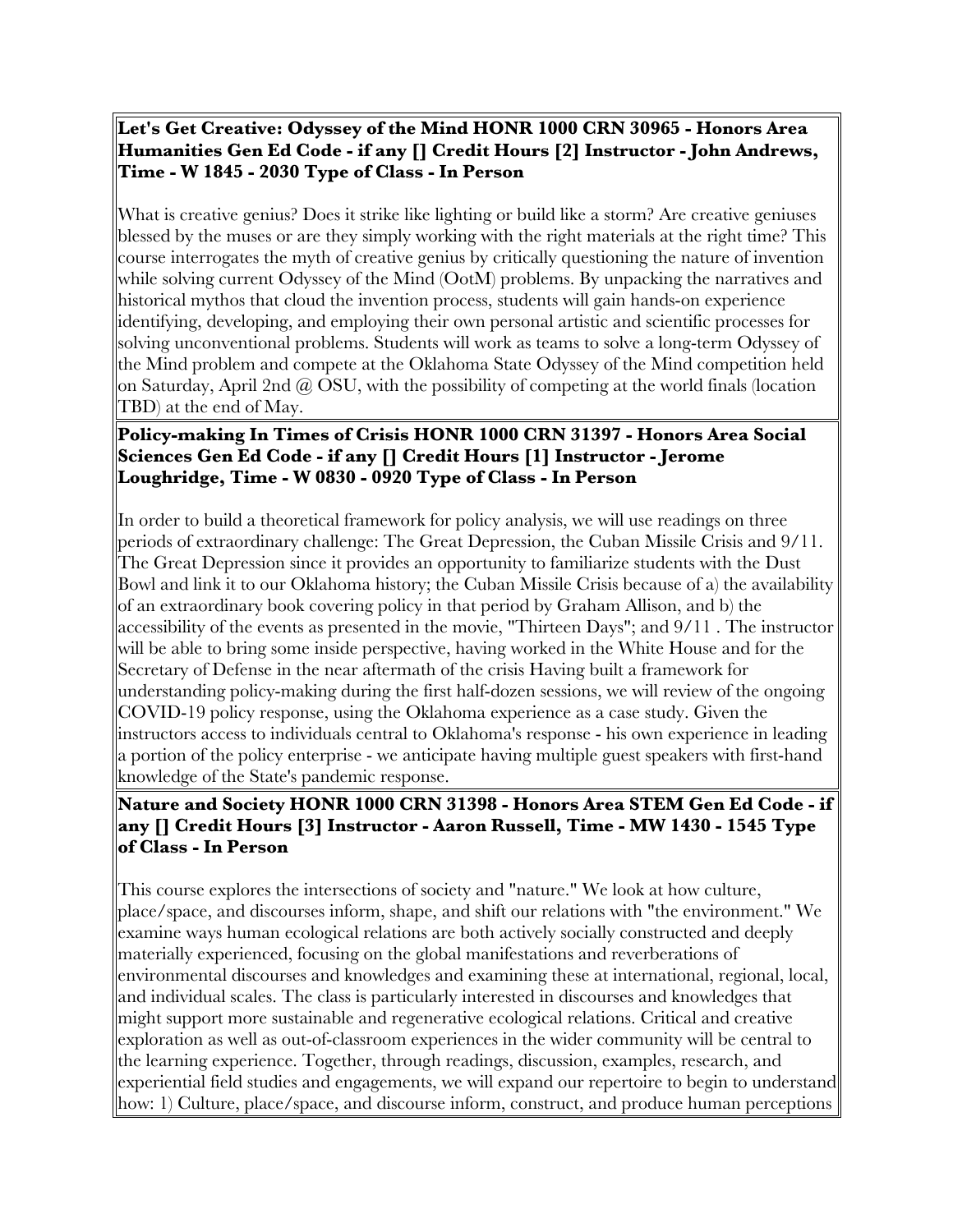**Let's Get Creative: Odyssey of the Mind HONR 1000 CRN 30965 - Honors Area Humanities Gen Ed Code - if any [] Credit Hours [2] Instructor - John Andrews, Time - W 1845 - 2030 Type of Class - In Person**

What is creative genius? Does it strike like lighting or build like a storm? Are creative geniuses blessed by the muses or are they simply working with the right materials at the right time? This course interrogates the myth of creative genius by critically questioning the nature of invention while solving current Odyssey of the Mind (OotM) problems. By unpacking the narratives and historical mythos that cloud the invention process, students will gain hands-on experience identifying, developing, and employing their own personal artistic and scientific processes for solving unconventional problems. Students will work as teams to solve a long-term Odyssey of the Mind problem and compete at the Oklahoma State Odyssey of the Mind competition held on Saturday, April 2nd @ OSU, with the possibility of competing at the world finals (location TBD) at the end of May.

# **Policy-making In Times of Crisis HONR 1000 CRN 31397 - Honors Area Social Sciences Gen Ed Code - if any [] Credit Hours [1] Instructor - Jerome Loughridge, Time - W 0830 - 0920 Type of Class - In Person**

In order to build a theoretical framework for policy analysis, we will use readings on three periods of extraordinary challenge: The Great Depression, the Cuban Missile Crisis and 9/11. The Great Depression since it provides an opportunity to familiarize students with the Dust Bowl and link it to our Oklahoma history; the Cuban Missile Crisis because of a) the availability of an extraordinary book covering policy in that period by Graham Allison, and b) the accessibility of the events as presented in the movie, "Thirteen Days"; and 9/11 . The instructor will be able to bring some inside perspective, having worked in the White House and for the Secretary of Defense in the near aftermath of the crisis Having built a framework for understanding policy-making during the first half-dozen sessions, we will review of the ongoing COVID-19 policy response, using the Oklahoma experience as a case study. Given the instructors access to individuals central to Oklahoma's response - his own experience in leading a portion of the policy enterprise - we anticipate having multiple guest speakers with first-hand knowledge of the State's pandemic response.

# **Nature and Society HONR 1000 CRN 31398 - Honors Area STEM Gen Ed Code - if any [] Credit Hours [3] Instructor - Aaron Russell, Time - MW 1430 - 1545 Type of Class - In Person**

This course explores the intersections of society and "nature." We look at how culture, place/space, and discourses inform, shape, and shift our relations with "the environment." We examine ways human ecological relations are both actively socially constructed and deeply materially experienced, focusing on the global manifestations and reverberations of environmental discourses and knowledges and examining these at international, regional, local, and individual scales. The class is particularly interested in discourses and knowledges that might support more sustainable and regenerative ecological relations. Critical and creative exploration as well as out-of-classroom experiences in the wider community will be central to the learning experience. Together, through readings, discussion, examples, research, and experiential field studies and engagements, we will expand our repertoire to begin to understand how: 1) Culture, place/space, and discourse inform, construct, and produce human perceptions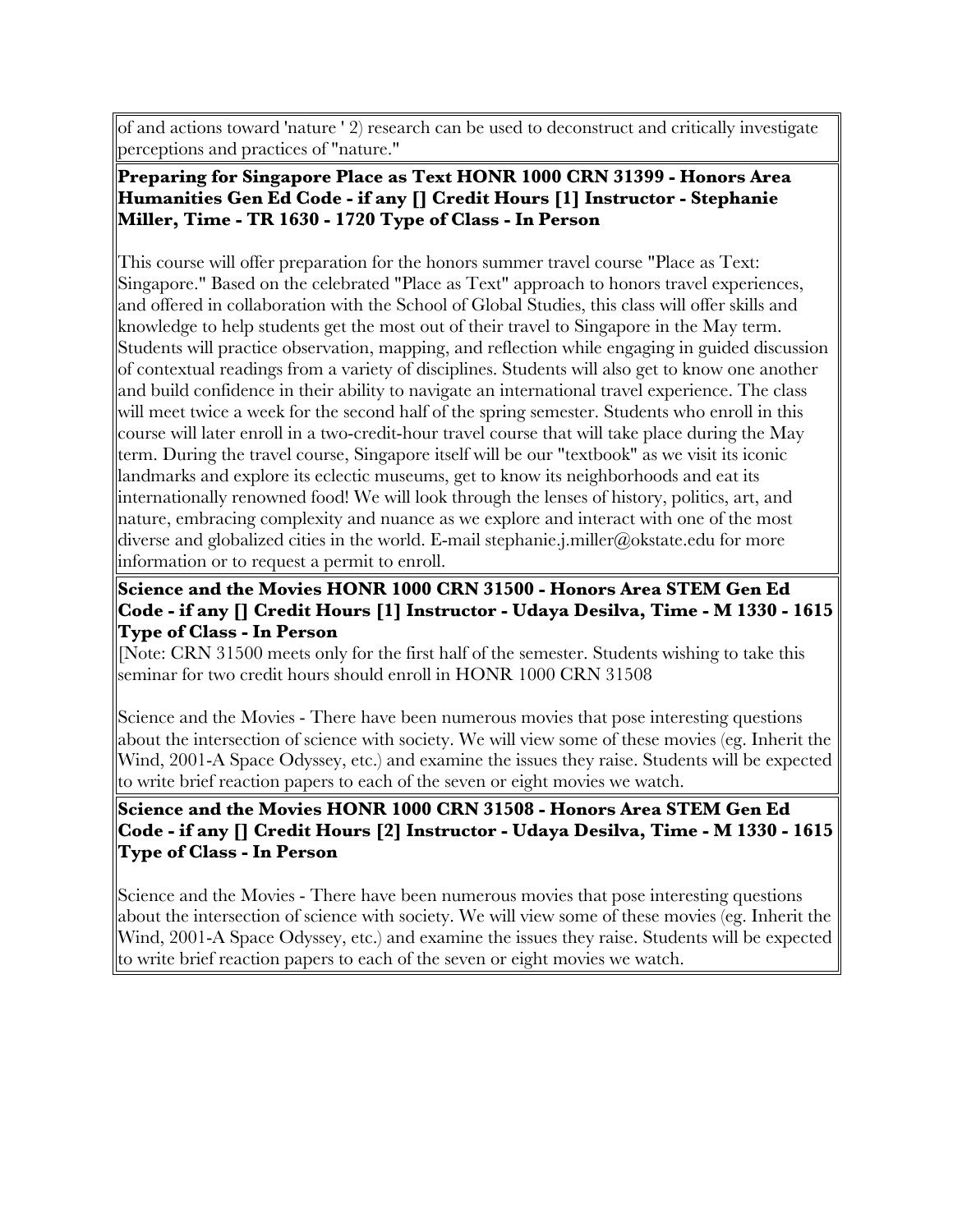of and actions toward 'nature ' 2) research can be used to deconstruct and critically investigate perceptions and practices of "nature."

# **Preparing for Singapore Place as Text HONR 1000 CRN 31399 - Honors Area Humanities Gen Ed Code - if any [] Credit Hours [1] Instructor - Stephanie Miller, Time - TR 1630 - 1720 Type of Class - In Person**

This course will offer preparation for the honors summer travel course "Place as Text: Singapore." Based on the celebrated "Place as Text" approach to honors travel experiences, and offered in collaboration with the School of Global Studies, this class will offer skills and knowledge to help students get the most out of their travel to Singapore in the May term. Students will practice observation, mapping, and reflection while engaging in guided discussion of contextual readings from a variety of disciplines. Students will also get to know one another and build confidence in their ability to navigate an international travel experience. The class will meet twice a week for the second half of the spring semester. Students who enroll in this course will later enroll in a two-credit-hour travel course that will take place during the May term. During the travel course, Singapore itself will be our "textbook" as we visit its iconic landmarks and explore its eclectic museums, get to know its neighborhoods and eat its internationally renowned food! We will look through the lenses of history, politics, art, and nature, embracing complexity and nuance as we explore and interact with one of the most diverse and globalized cities in the world. E-mail stephanie.j.miller@okstate.edu for more information or to request a permit to enroll.

# **Science and the Movies HONR 1000 CRN 31500 - Honors Area STEM Gen Ed Code - if any [] Credit Hours [1] Instructor - Udaya Desilva, Time - M 1330 - 1615 Type of Class - In Person**

[Note: CRN 31500 meets only for the first half of the semester. Students wishing to take this seminar for two credit hours should enroll in HONR 1000 CRN 31508

Science and the Movies - There have been numerous movies that pose interesting questions about the intersection of science with society. We will view some of these movies (eg. Inherit the Wind, 2001-A Space Odyssey, etc.) and examine the issues they raise. Students will be expected to write brief reaction papers to each of the seven or eight movies we watch.

# **Science and the Movies HONR 1000 CRN 31508 - Honors Area STEM Gen Ed Code - if any [] Credit Hours [2] Instructor - Udaya Desilva, Time - M 1330 - 1615 Type of Class - In Person**

Science and the Movies - There have been numerous movies that pose interesting questions about the intersection of science with society. We will view some of these movies (eg. Inherit the Wind, 2001-A Space Odyssey, etc.) and examine the issues they raise. Students will be expected to write brief reaction papers to each of the seven or eight movies we watch.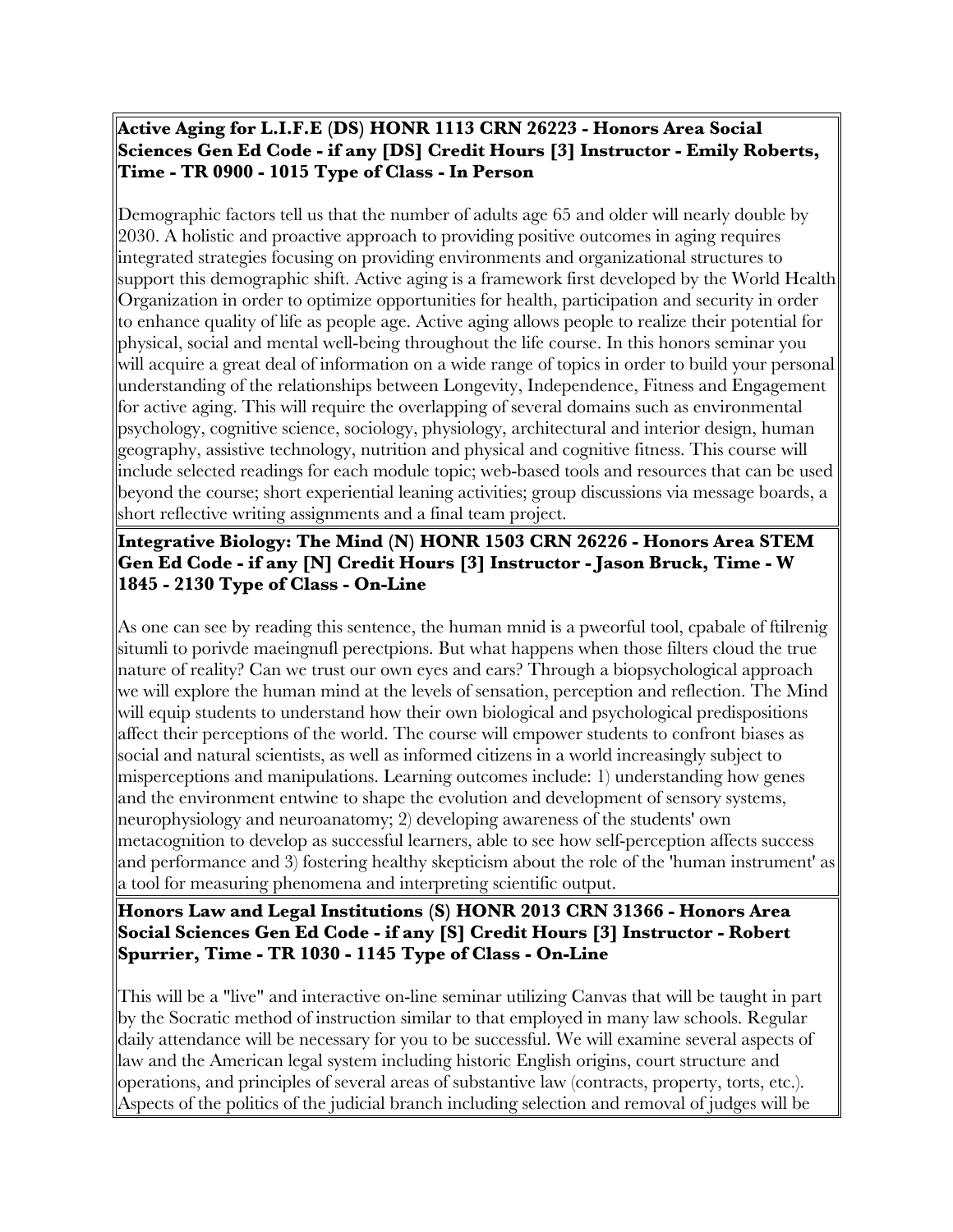## **Active Aging for L.I.F.E (DS) HONR 1113 CRN 26223 - Honors Area Social Sciences Gen Ed Code - if any [DS] Credit Hours [3] Instructor - Emily Roberts, Time - TR 0900 - 1015 Type of Class - In Person**

Demographic factors tell us that the number of adults age 65 and older will nearly double by 2030. A holistic and proactive approach to providing positive outcomes in aging requires integrated strategies focusing on providing environments and organizational structures to support this demographic shift. Active aging is a framework first developed by the World Health Organization in order to optimize opportunities for health, participation and security in order to enhance quality of life as people age. Active aging allows people to realize their potential for physical, social and mental well-being throughout the life course. In this honors seminar you will acquire a great deal of information on a wide range of topics in order to build your personal understanding of the relationships between Longevity, Independence, Fitness and Engagement for active aging. This will require the overlapping of several domains such as environmental psychology, cognitive science, sociology, physiology, architectural and interior design, human geography, assistive technology, nutrition and physical and cognitive fitness. This course will include selected readings for each module topic; web-based tools and resources that can be used beyond the course; short experiential leaning activities; group discussions via message boards, a short reflective writing assignments and a final team project.

# **Integrative Biology: The Mind (N) HONR 1503 CRN 26226 - Honors Area STEM Gen Ed Code - if any [N] Credit Hours [3] Instructor - Jason Bruck, Time - W 1845 - 2130 Type of Class - On-Line**

As one can see by reading this sentence, the human mnid is a pweorful tool, cpabale of ftilrenig situmli to porivde maeingnufl perectpions. But what happens when those filters cloud the true nature of reality? Can we trust our own eyes and ears? Through a biopsychological approach we will explore the human mind at the levels of sensation, perception and reflection. The Mind will equip students to understand how their own biological and psychological predispositions affect their perceptions of the world. The course will empower students to confront biases as social and natural scientists, as well as informed citizens in a world increasingly subject to misperceptions and manipulations. Learning outcomes include: 1) understanding how genes and the environment entwine to shape the evolution and development of sensory systems, neurophysiology and neuroanatomy; 2) developing awareness of the students' own metacognition to develop as successful learners, able to see how self-perception affects success and performance and 3) fostering healthy skepticism about the role of the 'human instrument' as a tool for measuring phenomena and interpreting scientific output.

# **Honors Law and Legal Institutions (S) HONR 2013 CRN 31366 - Honors Area Social Sciences Gen Ed Code - if any [S] Credit Hours [3] Instructor - Robert Spurrier, Time - TR 1030 - 1145 Type of Class - On-Line**

This will be a "live" and interactive on-line seminar utilizing Canvas that will be taught in part by the Socratic method of instruction similar to that employed in many law schools. Regular daily attendance will be necessary for you to be successful. We will examine several aspects of law and the American legal system including historic English origins, court structure and operations, and principles of several areas of substantive law (contracts, property, torts, etc.). Aspects of the politics of the judicial branch including selection and removal of judges will be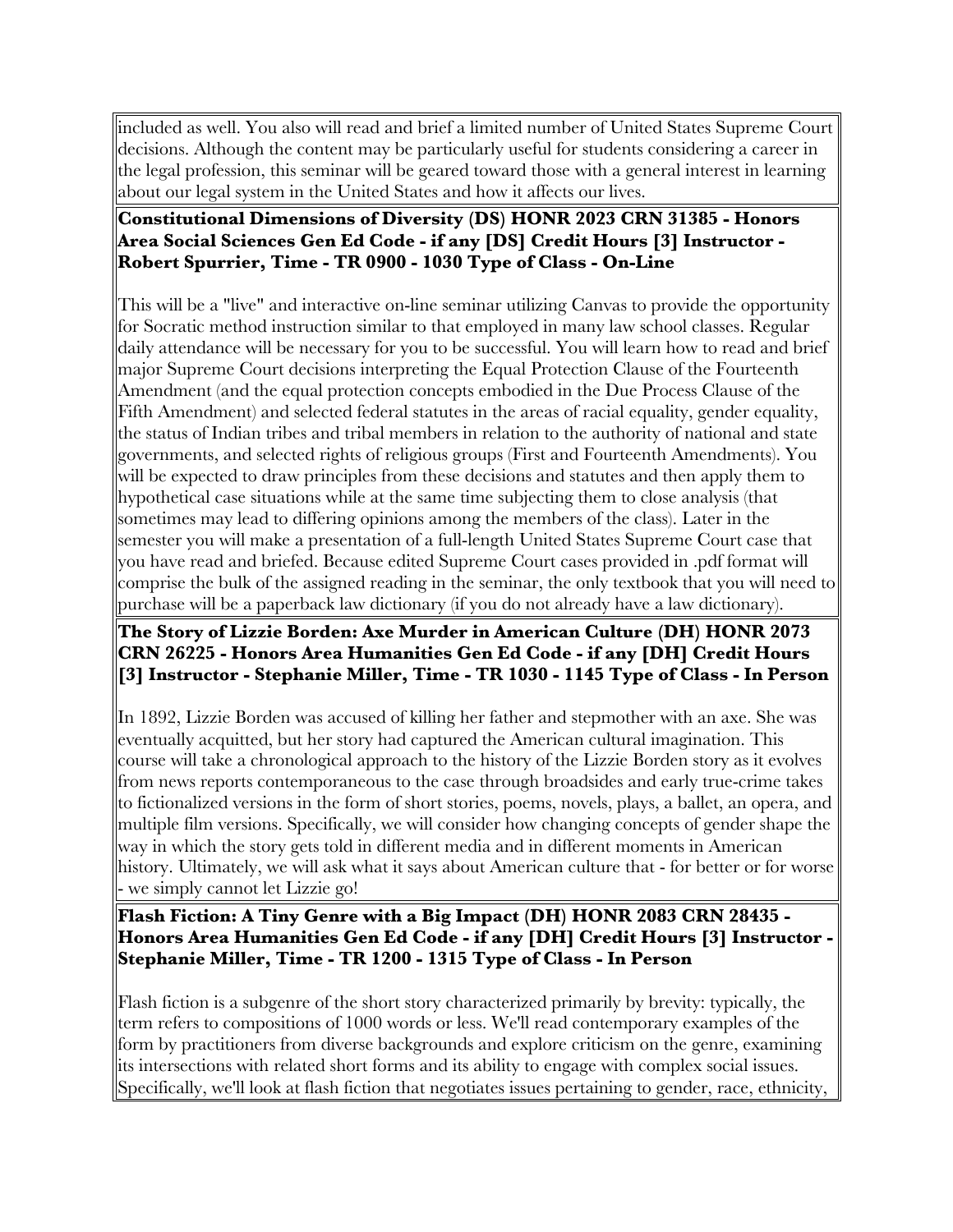included as well. You also will read and brief a limited number of United States Supreme Court decisions. Although the content may be particularly useful for students considering a career in the legal profession, this seminar will be geared toward those with a general interest in learning about our legal system in the United States and how it affects our lives.

#### **Constitutional Dimensions of Diversity (DS) HONR 2023 CRN 31385 - Honors Area Social Sciences Gen Ed Code - if any [DS] Credit Hours [3] Instructor - Robert Spurrier, Time - TR 0900 - 1030 Type of Class - On-Line**

This will be a "live" and interactive on-line seminar utilizing Canvas to provide the opportunity for Socratic method instruction similar to that employed in many law school classes. Regular daily attendance will be necessary for you to be successful. You will learn how to read and brief major Supreme Court decisions interpreting the Equal Protection Clause of the Fourteenth Amendment (and the equal protection concepts embodied in the Due Process Clause of the Fifth Amendment) and selected federal statutes in the areas of racial equality, gender equality, the status of Indian tribes and tribal members in relation to the authority of national and state governments, and selected rights of religious groups (First and Fourteenth Amendments). You will be expected to draw principles from these decisions and statutes and then apply them to hypothetical case situations while at the same time subjecting them to close analysis (that sometimes may lead to differing opinions among the members of the class). Later in the semester you will make a presentation of a full-length United States Supreme Court case that you have read and briefed. Because edited Supreme Court cases provided in .pdf format will comprise the bulk of the assigned reading in the seminar, the only textbook that you will need to purchase will be a paperback law dictionary (if you do not already have a law dictionary).

# **The Story of Lizzie Borden: Axe Murder in American Culture (DH) HONR 2073 CRN 26225 - Honors Area Humanities Gen Ed Code - if any [DH] Credit Hours [3] Instructor - Stephanie Miller, Time - TR 1030 - 1145 Type of Class - In Person**

In 1892, Lizzie Borden was accused of killing her father and stepmother with an axe. She was eventually acquitted, but her story had captured the American cultural imagination. This course will take a chronological approach to the history of the Lizzie Borden story as it evolves from news reports contemporaneous to the case through broadsides and early true-crime takes to fictionalized versions in the form of short stories, poems, novels, plays, a ballet, an opera, and multiple film versions. Specifically, we will consider how changing concepts of gender shape the way in which the story gets told in different media and in different moments in American history. Ultimately, we will ask what it says about American culture that - for better or for worse - we simply cannot let Lizzie go!

**Flash Fiction: A Tiny Genre with a Big Impact (DH) HONR 2083 CRN 28435 - Honors Area Humanities Gen Ed Code - if any [DH] Credit Hours [3] Instructor - Stephanie Miller, Time - TR 1200 - 1315 Type of Class - In Person**

Flash fiction is a subgenre of the short story characterized primarily by brevity: typically, the term refers to compositions of 1000 words or less. We'll read contemporary examples of the form by practitioners from diverse backgrounds and explore criticism on the genre, examining its intersections with related short forms and its ability to engage with complex social issues. Specifically, we'll look at flash fiction that negotiates issues pertaining to gender, race, ethnicity,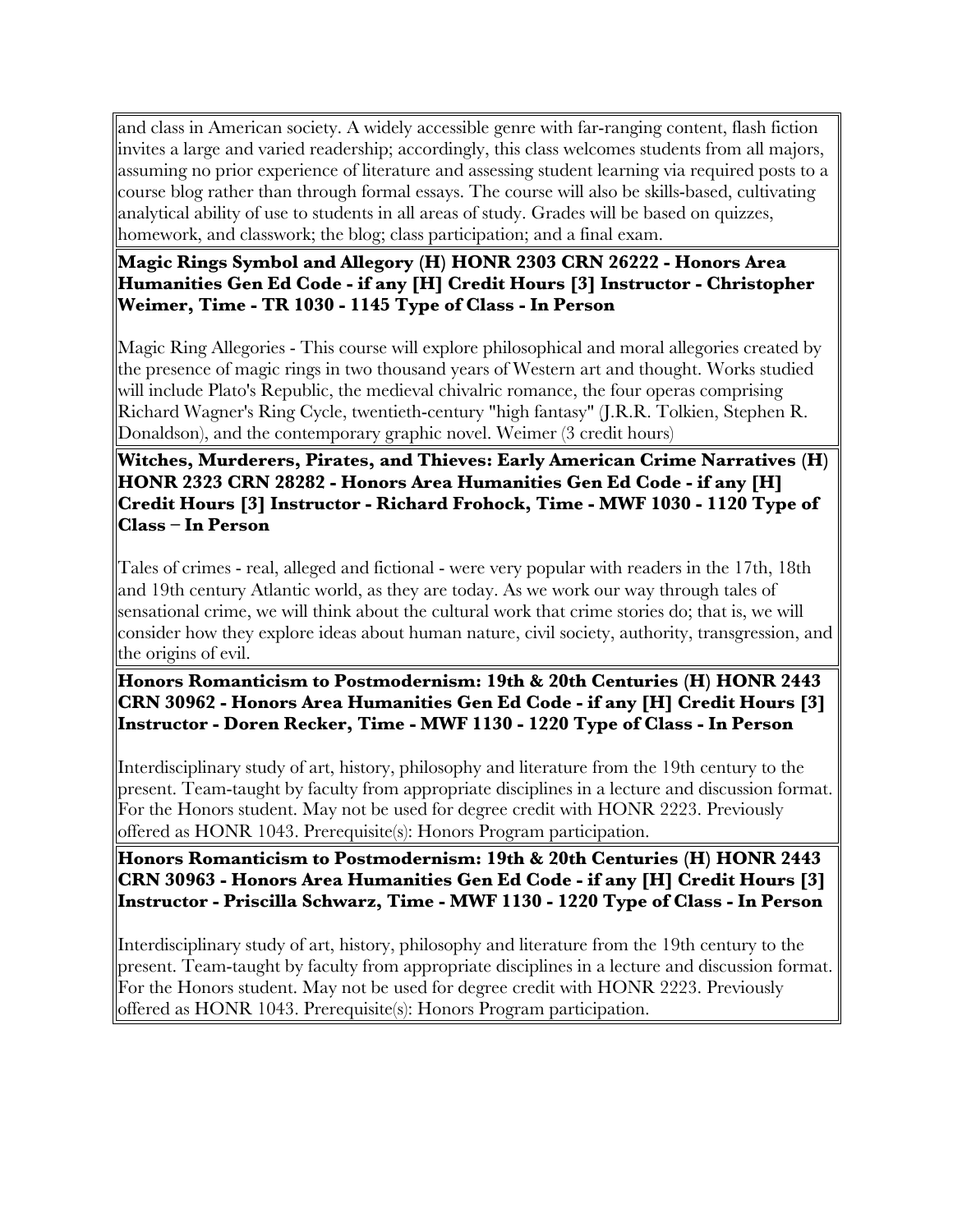and class in American society. A widely accessible genre with far-ranging content, flash fiction invites a large and varied readership; accordingly, this class welcomes students from all majors, assuming no prior experience of literature and assessing student learning via required posts to a course blog rather than through formal essays. The course will also be skills-based, cultivating analytical ability of use to students in all areas of study. Grades will be based on quizzes, homework, and classwork; the blog; class participation; and a final exam.

#### **Magic Rings Symbol and Allegory (H) HONR 2303 CRN 26222 - Honors Area Humanities Gen Ed Code - if any [H] Credit Hours [3] Instructor - Christopher Weimer, Time - TR 1030 - 1145 Type of Class - In Person**

Magic Ring Allegories - This course will explore philosophical and moral allegories created by the presence of magic rings in two thousand years of Western art and thought. Works studied will include Plato's Republic, the medieval chivalric romance, the four operas comprising Richard Wagner's Ring Cycle, twentieth-century "high fantasy" (J.R.R. Tolkien, Stephen R. Donaldson), and the contemporary graphic novel. Weimer (3 credit hours)

**Witches, Murderers, Pirates, and Thieves: Early American Crime Narratives (H) HONR 2323 CRN 28282 - Honors Area Humanities Gen Ed Code - if any [H] Credit Hours [3] Instructor - Richard Frohock, Time - MWF 1030 - 1120 Type of Class – In Person**

Tales of crimes - real, alleged and fictional - were very popular with readers in the 17th, 18th and 19th century Atlantic world, as they are today. As we work our way through tales of sensational crime, we will think about the cultural work that crime stories do; that is, we will consider how they explore ideas about human nature, civil society, authority, transgression, and the origins of evil.

**Honors Romanticism to Postmodernism: 19th & 20th Centuries (H) HONR 2443 CRN 30962 - Honors Area Humanities Gen Ed Code - if any [H] Credit Hours [3] Instructor - Doren Recker, Time - MWF 1130 - 1220 Type of Class - In Person**

Interdisciplinary study of art, history, philosophy and literature from the 19th century to the present. Team-taught by faculty from appropriate disciplines in a lecture and discussion format. For the Honors student. May not be used for degree credit with HONR 2223. Previously offered as HONR 1043. Prerequisite(s): Honors Program participation.

**Honors Romanticism to Postmodernism: 19th & 20th Centuries (H) HONR 2443 CRN 30963 - Honors Area Humanities Gen Ed Code - if any [H] Credit Hours [3] Instructor - Priscilla Schwarz, Time - MWF 1130 - 1220 Type of Class - In Person**

Interdisciplinary study of art, history, philosophy and literature from the 19th century to the present. Team-taught by faculty from appropriate disciplines in a lecture and discussion format. For the Honors student. May not be used for degree credit with HONR 2223. Previously offered as HONR 1043. Prerequisite(s): Honors Program participation.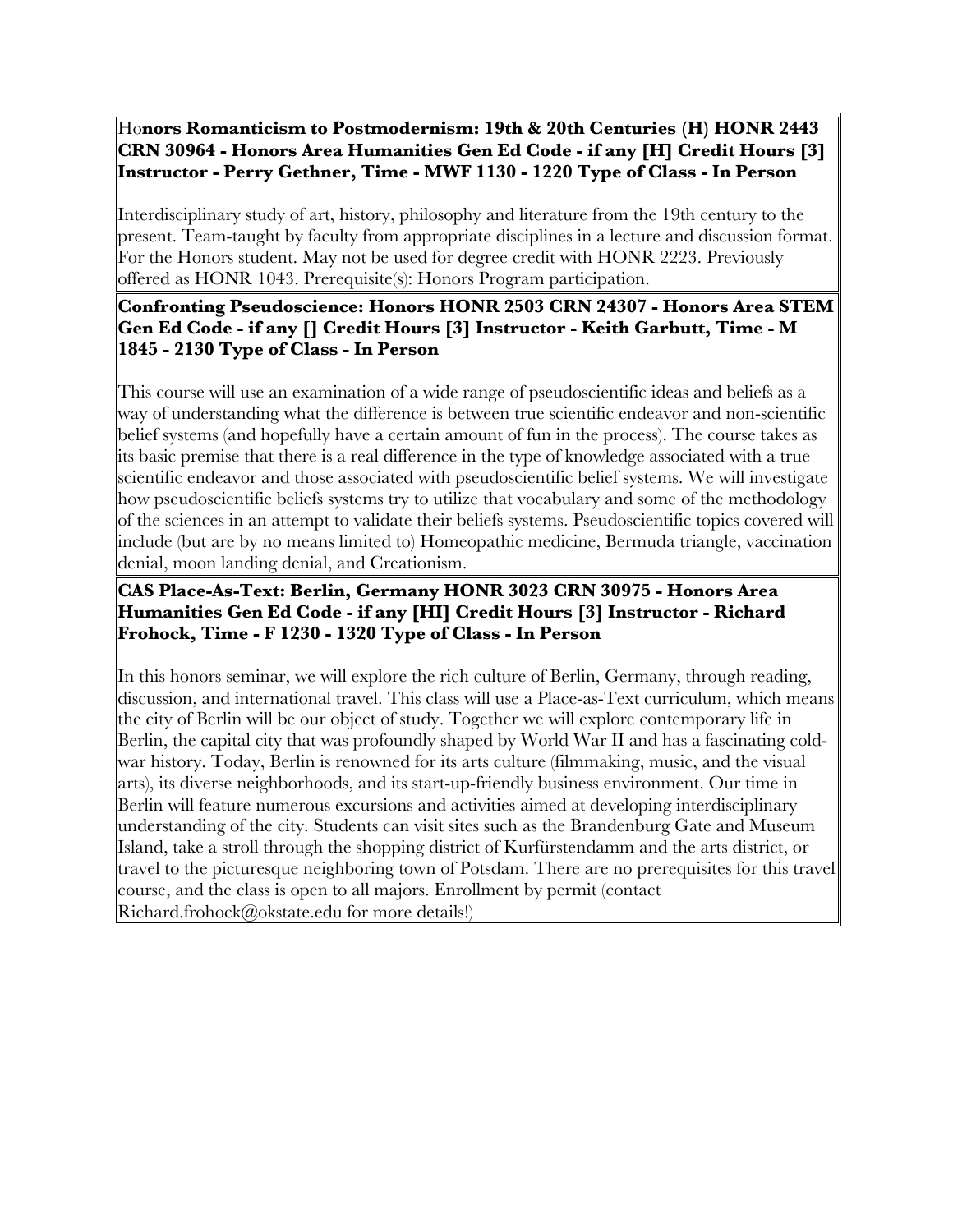## Ho**nors Romanticism to Postmodernism: 19th & 20th Centuries (H) HONR 2443 CRN 30964 - Honors Area Humanities Gen Ed Code - if any [H] Credit Hours [3] Instructor - Perry Gethner, Time - MWF 1130 - 1220 Type of Class - In Person**

Interdisciplinary study of art, history, philosophy and literature from the 19th century to the present. Team-taught by faculty from appropriate disciplines in a lecture and discussion format. For the Honors student. May not be used for degree credit with HONR 2223. Previously offered as HONR 1043. Prerequisite(s): Honors Program participation.

# **Confronting Pseudoscience: Honors HONR 2503 CRN 24307 - Honors Area STEM Gen Ed Code - if any [] Credit Hours [3] Instructor - Keith Garbutt, Time - M 1845 - 2130 Type of Class - In Person**

This course will use an examination of a wide range of pseudoscientific ideas and beliefs as a way of understanding what the difference is between true scientific endeavor and non-scientific belief systems (and hopefully have a certain amount of fun in the process). The course takes as its basic premise that there is a real difference in the type of knowledge associated with a true scientific endeavor and those associated with pseudoscientific belief systems. We will investigate how pseudoscientific beliefs systems try to utilize that vocabulary and some of the methodology of the sciences in an attempt to validate their beliefs systems. Pseudoscientific topics covered will include (but are by no means limited to) Homeopathic medicine, Bermuda triangle, vaccination denial, moon landing denial, and Creationism.

# **CAS Place-As-Text: Berlin, Germany HONR 3023 CRN 30975 - Honors Area Humanities Gen Ed Code - if any [HI] Credit Hours [3] Instructor - Richard Frohock, Time - F 1230 - 1320 Type of Class - In Person**

In this honors seminar, we will explore the rich culture of Berlin, Germany, through reading, discussion, and international travel. This class will use a Place-as-Text curriculum, which means the city of Berlin will be our object of study. Together we will explore contemporary life in Berlin, the capital city that was profoundly shaped by World War II and has a fascinating coldwar history. Today, Berlin is renowned for its arts culture (filmmaking, music, and the visual arts), its diverse neighborhoods, and its start-up-friendly business environment. Our time in Berlin will feature numerous excursions and activities aimed at developing interdisciplinary understanding of the city. Students can visit sites such as the Brandenburg Gate and Museum Island, take a stroll through the shopping district of Kurfürstendamm and the arts district, or travel to the picturesque neighboring town of Potsdam. There are no prerequisites for this travel course, and the class is open to all majors. Enrollment by permit (contact Richard.frohock@okstate.edu for more details!)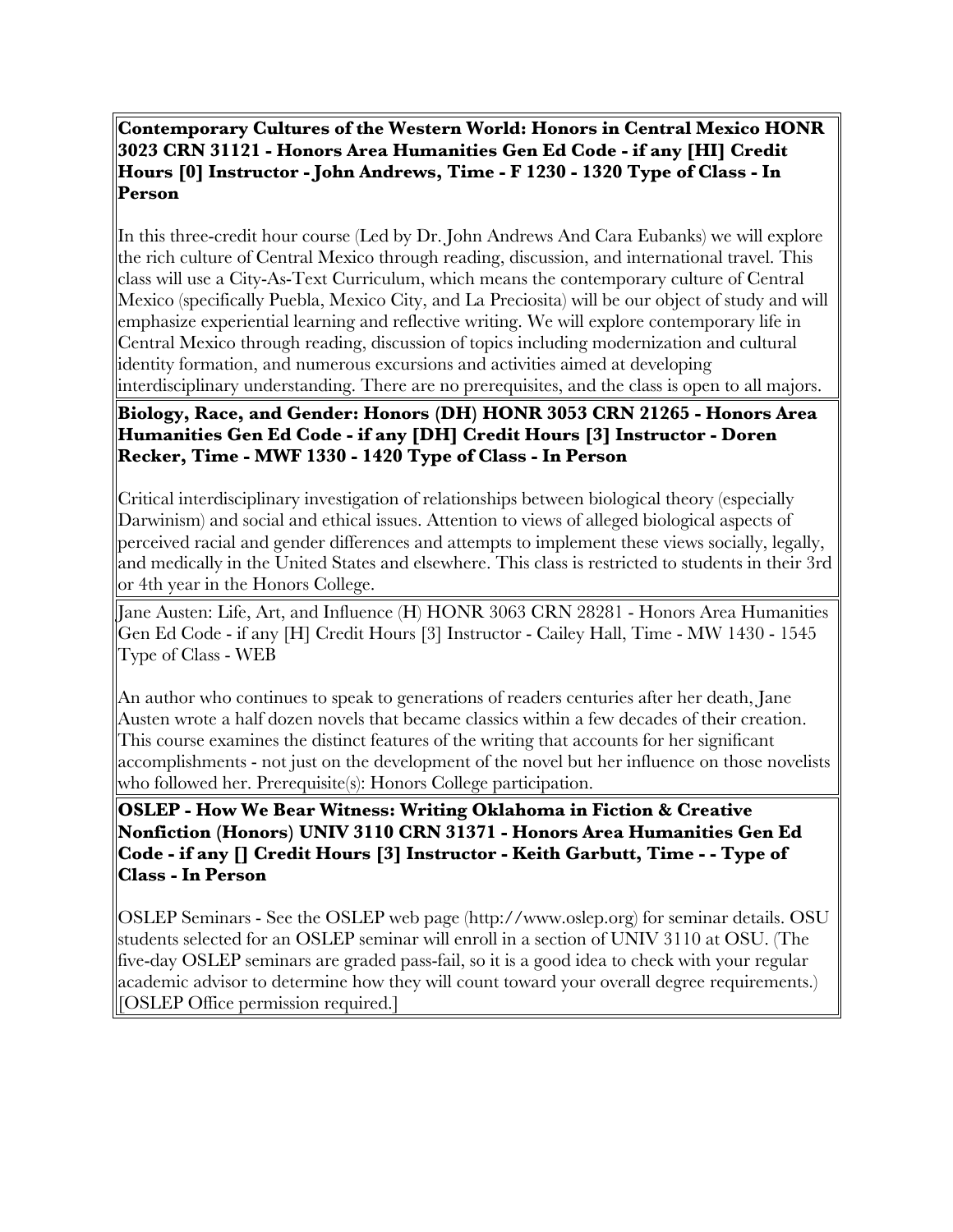**Contemporary Cultures of the Western World: Honors in Central Mexico HONR 3023 CRN 31121 - Honors Area Humanities Gen Ed Code - if any [HI] Credit Hours [0] Instructor - John Andrews, Time - F 1230 - 1320 Type of Class - In Person**

In this three-credit hour course (Led by Dr. John Andrews And Cara Eubanks) we will explore the rich culture of Central Mexico through reading, discussion, and international travel. This class will use a City-As-Text Curriculum, which means the contemporary culture of Central Mexico (specifically Puebla, Mexico City, and La Preciosita) will be our object of study and will emphasize experiential learning and reflective writing. We will explore contemporary life in Central Mexico through reading, discussion of topics including modernization and cultural identity formation, and numerous excursions and activities aimed at developing interdisciplinary understanding. There are no prerequisites, and the class is open to all majors.

# **Biology, Race, and Gender: Honors (DH) HONR 3053 CRN 21265 - Honors Area Humanities Gen Ed Code - if any [DH] Credit Hours [3] Instructor - Doren Recker, Time - MWF 1330 - 1420 Type of Class - In Person**

Critical interdisciplinary investigation of relationships between biological theory (especially Darwinism) and social and ethical issues. Attention to views of alleged biological aspects of perceived racial and gender differences and attempts to implement these views socially, legally, and medically in the United States and elsewhere. This class is restricted to students in their 3rd or 4th year in the Honors College.

Jane Austen: Life, Art, and Influence (H) HONR 3063 CRN 28281 - Honors Area Humanities Gen Ed Code - if any [H] Credit Hours [3] Instructor - Cailey Hall, Time - MW 1430 - 1545 Type of Class - WEB

An author who continues to speak to generations of readers centuries after her death, Jane Austen wrote a half dozen novels that became classics within a few decades of their creation. This course examines the distinct features of the writing that accounts for her significant accomplishments - not just on the development of the novel but her influence on those novelists who followed her. Prerequisite(s): Honors College participation.

**OSLEP - How We Bear Witness: Writing Oklahoma in Fiction & Creative Nonfiction (Honors) UNIV 3110 CRN 31371 - Honors Area Humanities Gen Ed Code - if any [] Credit Hours [3] Instructor - Keith Garbutt, Time - - Type of Class - In Person**

OSLEP Seminars - See the OSLEP web page (http://www.oslep.org) for seminar details. OSU students selected for an OSLEP seminar will enroll in a section of UNIV 3110 at OSU. (The five-day OSLEP seminars are graded pass-fail, so it is a good idea to check with your regular academic advisor to determine how they will count toward your overall degree requirements.) [OSLEP Office permission required.]